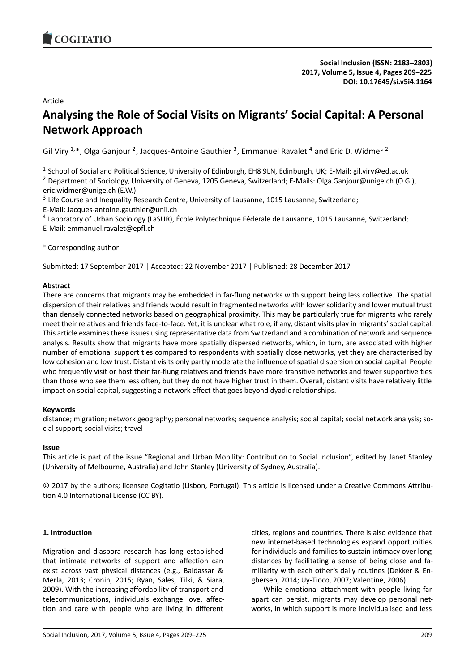# Article

# **Analysing the Role of Social Visits on Migrants' Social Capital: A Personal Network Approach**

Gil Viry <sup>1,\*</sup>, Olga Ganjour <sup>2</sup>, Jacques-Antoine Gauthier <sup>3</sup>, Emmanuel Ravalet <sup>4</sup> and Eric D. Widmer <sup>2</sup>

<sup>1</sup> School of Social and Political Science, University of Edinburgh, EH8 9LN, Edinburgh, UK; E-Mail: gil.viry@ed.ac.uk

<sup>2</sup> Department of Sociology, University of Geneva, 1205 Geneva, Switzerland; E-Mails: Olga.Ganjour@unige.ch (O.G.), eric.widmer@unige.ch (E.W.)

<sup>3</sup> Life Course and Inequality Research Centre, University of Lausanne, 1015 Lausanne, Switzerland;

E-Mail: Jacques-antoine.gauthier@unil.ch

<sup>4</sup> Laboratory of Urban Sociology (LaSUR), École Polytechnique Fédérale de Lausanne, 1015 Lausanne, Switzerland; E-Mail: emmanuel.ravalet@epfl.ch

\* Corresponding author

Submitted: 17 September 2017 | Accepted: 22 November 2017 | Published: 28 December 2017

### **Abstract**

There are concerns that migrants may be embedded in far-flung networks with support being less collective. The spatial dispersion of their relatives and friends would result in fragmented networks with lower solidarity and lower mutual trust than densely connected networks based on geographical proximity. This may be particularly true for migrants who rarely meet their relatives and friends face-to-face. Yet, it is unclear what role, if any, distant visits play in migrants' social capital. This article examines these issues using representative data from Switzerland and a combination of network and sequence analysis. Results show that migrants have more spatially dispersed networks, which, in turn, are associated with higher number of emotional support ties compared to respondents with spatially close networks, yet they are characterised by low cohesion and low trust. Distant visits only partly moderate the influence of spatial dispersion on social capital. People who frequently visit or host their far-flung relatives and friends have more transitive networks and fewer supportive ties than those who see them less often, but they do not have higher trust in them. Overall, distant visits have relatively little impact on social capital, suggesting a network effect that goes beyond dyadic relationships.

### **Keywords**

distance; migration; network geography; personal networks; sequence analysis; social capital; social network analysis; social support; social visits; travel

### **Issue**

This article is part of the issue "Regional and Urban Mobility: Contribution to Social Inclusion", edited by Janet Stanley (University of Melbourne, Australia) and John Stanley (University of Sydney, Australia).

© 2017 by the authors; licensee Cogitatio (Lisbon, Portugal). This article is licensed under a Creative Commons Attribution 4.0 International License (CC BY).

### **1. Introduction**

Migration and diaspora research has long established that intimate networks of support and affection can exist across vast physical distances (e.g., Baldassar & Merla, 2013; Cronin, 2015; Ryan, Sales, Tilki, & Siara, 2009). With the increasing affordability of transport and telecommunications, individuals exchange love, affection and care with people who are living in different cities, regions and countries. There is also evidence that new internet-based technologies expand opportunities for individuals and families to sustain intimacy over long distances by facilitating a sense of being close and familiarity with each other's daily routines (Dekker & Engbersen, 2014; Uy-Tioco, 2007; Valentine, 2006).

While emotional attachment with people living far apart can persist, migrants may develop personal networks, in which support is more individualised and less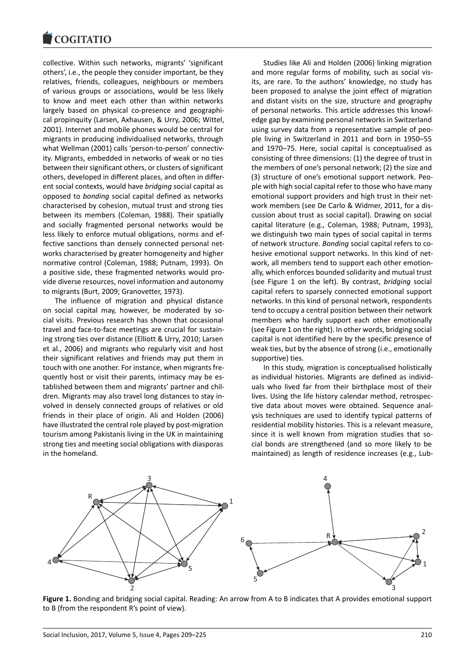#### COQUIATIO

collective. Within such networks, migrants' 'significant others', i.e., the people they consider important, be they relatives, friends, colleagues, neighbours or members of various groups or associations, would be less likely to know and meet each other than within networks largely based on physical co-presence and geographical propinquity (Larsen, Axhausen, & Urry, 2006; Wittel, 2001). Internet and mobile phones would be central for migrants in producing individualised networks, through what Wellman (2001) calls 'person-to-person' connectivity. Migrants, embedded in networks of weak or no ties between their significant others, or clusters of significant others, developed in different places, and often in different social contexts, would have *bridging* social capital as opposed to *bonding* social capital defined as networks characterised by cohesion, mutual trust and strong ties between its members (Coleman, 1988). Their spatially and socially fragmented personal networks would be less likely to enforce mutual obligations, norms and effective sanctions than densely connected personal networks characterised by greater homogeneity and higher normative control (Coleman, 1988; Putnam, 1993). On a positive side, these fragmented networks would provide diverse resources, novel information and autonomy to migrants (Burt, 2009; Granovetter, 1973).

The influence of migration and physical distance on social capital may, however, be moderated by social visits. Previous research has shown that occasional travel and face-to-face meetings are crucial for sustaining strong ties over distance (Elliott & Urry, 2010; Larsen et al., 2006) and migrants who regularly visit and host their significant relatives and friends may put them in touch with one another. For instance, when migrants frequently host or visit their parents, intimacy may be established between them and migrants' partner and children. Migrants may also travel long distances to stay involved in densely connected groups of relatives or old friends in their place of origin. Ali and Holden (2006) have illustrated the central role played by post-migration tourism among Pakistanis living in the UK in maintaining strong ties and meeting social obligations with diasporas in the homeland.

Studies like Ali and Holden (2006) linking migration and more regular forms of mobility, such as social visits, are rare. To the authors' knowledge, no study has been proposed to analyse the joint effect of migration and distant visits on the size, structure and geography of personal networks. This article addresses this knowledge gap by examining personal networks in Switzerland using survey data from a representative sample of people living in Switzerland in 2011 and born in 1950–55 and 1970–75. Here, social capital is conceptualised as consisting of three dimensions: (1) the degree of trust in the members of one's personal network; (2) the size and (3) structure of one's emotional support network. People with high social capital refer to those who have many emotional support providers and high trust in their network members (see De Carlo & Widmer, 2011, for a discussion about trust as social capital). Drawing on social capital literature (e.g., Coleman, 1988; Putnam, 1993), we distinguish two main types of social capital in terms of network structure. *Bonding* social capital refers to cohesive emotional support networks. In this kind of network, all members tend to support each other emotionally, which enforces bounded solidarity and mutual trust (see Figure 1 on the left). By contrast, *bridging* social capital refers to sparsely connected emotional support networks. In this kind of personal network, respondents tend to occupy a central position between their network members who hardly support each other emotionally (see Figure 1 on the right). In other words, bridging social capital is not identified here by the specific presence of weak ties, but by the absence of strong (i.e., emotionally supportive) ties.

In this study, migration is conceptualised holistically as individual histories. Migrants are defined as individuals who lived far from their birthplace most of their lives. Using the life history calendar method, retrospective data about moves were obtained. Sequence analysis techniques are used to identify typical patterns of residential mobility histories. This is a relevant measure, since it is well known from migration studies that social bonds are strengthened (and so more likely to be maintained) as length of residence increases (e.g., Lub-



**Figure 1.** Bonding and bridging social capital. Reading: An arrow from A to B indicates that A provides emotional support to B (from the respondent R's point of view).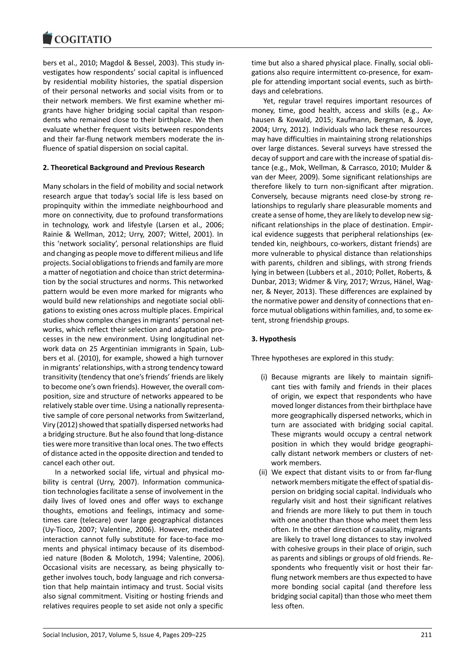bers et al., 2010; Magdol & Bessel, 2003). This study investigates how respondents' social capital is influenced by residential mobility histories, the spatial dispersion of their personal networks and social visits from or to their network members. We first examine whether migrants have higher bridging social capital than respondents who remained close to their birthplace. We then evaluate whether frequent visits between respondents and their far-flung network members moderate the influence of spatial dispersion on social capital.

### **2. Theoretical Background and Previous Research**

Many scholars in the field of mobility and social network research argue that today's social life is less based on propinquity within the immediate neighbourhood and more on connectivity, due to profound transformations in technology, work and lifestyle (Larsen et al., 2006; Rainie & Wellman, 2012; Urry, 2007; Wittel, 2001). In this 'network sociality', personal relationships are fluid and changing as people move to different milieus and life projects. Social obligations to friends and family are more a matter of negotiation and choice than strict determination by the social structures and norms. This networked pattern would be even more marked for migrants who would build new relationships and negotiate social obligations to existing ones across multiple places. Empirical studies show complex changes in migrants' personal networks, which reflect their selection and adaptation processes in the new environment. Using longitudinal network data on 25 Argentinian immigrants in Spain, Lubbers et al. (2010), for example, showed a high turnover in migrants' relationships, with a strong tendency toward transitivity (tendency that one's friends' friends are likely to become one's own friends). However, the overall composition, size and structure of networks appeared to be relatively stable over time. Using a nationally representative sample of core personal networks from Switzerland, Viry (2012) showed that spatially dispersed networks had a bridging structure. But he also found that long-distance ties were more transitive than local ones. The two effects of distance acted in the opposite direction and tended to cancel each other out.

In a networked social life, virtual and physical mobility is central (Urry, 2007). Information communication technologies facilitate a sense of involvement in the daily lives of loved ones and offer ways to exchange thoughts, emotions and feelings, intimacy and sometimes care (telecare) over large geographical distances (Uy-Tioco, 2007; Valentine, 2006). However, mediated interaction cannot fully substitute for face-to-face moments and physical intimacy because of its disembodied nature (Boden & Molotch, 1994; Valentine, 2006). Occasional visits are necessary, as being physically together involves touch, body language and rich conversation that help maintain intimacy and trust. Social visits also signal commitment. Visiting or hosting friends and relatives requires people to set aside not only a specific

time but also a shared physical place. Finally, social obligations also require intermittent co-presence, for example for attending important social events, such as birthdays and celebrations.

Yet, regular travel requires important resources of money, time, good health, access and skills (e.g., Axhausen & Kowald, 2015; Kaufmann, Bergman, & Joye, 2004; Urry, 2012). Individuals who lack these resources may have difficulties in maintaining strong relationships over large distances. Several surveys have stressed the decay of support and care with the increase of spatial distance (e.g., Mok, Wellman, & Carrasco, 2010; Mulder & van der Meer, 2009). Some significant relationships are therefore likely to turn non-significant after migration. Conversely, because migrants need close-by strong relationships to regularly share pleasurable moments and create a sense of home, they are likely to develop new significant relationships in the place of destination. Empirical evidence suggests that peripheral relationships (extended kin, neighbours, co-workers, distant friends) are more vulnerable to physical distance than relationships with parents, children and siblings, with strong friends lying in between (Lubbers et al., 2010; Pollet, Roberts, & Dunbar, 2013; Widmer & Viry, 2017; Wrzus, Hänel, Wagner, & Neyer, 2013). These differences are explained by the normative power and density of connections that enforce mutual obligations within families, and, to some extent, strong friendship groups.

#### **3. Hypothesis**

Three hypotheses are explored in this study:

- (i) Because migrants are likely to maintain significant ties with family and friends in their places of origin, we expect that respondents who have moved longer distances from their birthplace have more geographically dispersed networks, which in turn are associated with bridging social capital. These migrants would occupy a central network position in which they would bridge geographically distant network members or clusters of network members.
- (ii) We expect that distant visits to or from far-flung network members mitigate the effect of spatial dispersion on bridging social capital. Individuals who regularly visit and host their significant relatives and friends are more likely to put them in touch with one another than those who meet them less often. In the other direction of causality, migrants are likely to travel long distances to stay involved with cohesive groups in their place of origin, such as parents and siblings or groups of old friends. Respondents who frequently visit or host their farflung network members are thus expected to have more bonding social capital (and therefore less bridging social capital) than those who meet them less often.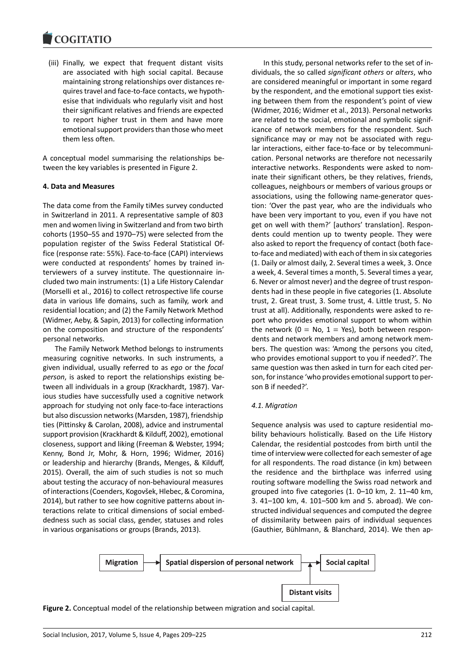(iii) Finally, we expect that frequent distant visits are associated with high social capital. Because maintaining strong relationships over distances requires travel and face-to-face contacts, we hypothesise that individuals who regularly visit and host their significant relatives and friends are expected to report higher trust in them and have more emotional support providers than those who meet them less often.

A conceptual model summarising the relationships between the key variables is presented in Figure 2.

### **4. Data and Measures**

The data come from the Family tiMes survey conducted in Switzerland in 2011. A representative sample of 803 men and women living in Switzerland and from two birth cohorts (1950–55 and 1970–75) were selected from the population register of the Swiss Federal Statistical Office (response rate: 55%). Face-to-face (CAPI) interviews were conducted at respondents' homes by trained interviewers of a survey institute. The questionnaire included two main instruments: (1) a Life History Calendar (Morselli et al., 2016) to collect retrospective life course data in various life domains, such as family, work and residential location; and (2) the Family Network Method (Widmer, Aeby, & Sapin, 2013) for collecting information on the composition and structure of the respondents' personal networks.

The Family Network Method belongs to instruments measuring cognitive networks. In such instruments, a given individual, usually referred to as *ego* or the *focal person*, is asked to report the relationships existing between all individuals in a group (Krackhardt, 1987). Various studies have successfully used a cognitive network approach for studying not only face-to-face interactions but also discussion networks (Marsden, 1987), friendship ties (Pittinsky & Carolan, 2008), advice and instrumental support provision (Krackhardt & Kilduff, 2002), emotional closeness, support and liking (Freeman & Webster, 1994; Kenny, Bond Jr, Mohr, & Horn, 1996; Widmer, 2016) or leadership and hierarchy (Brands, Menges, & Kilduff, 2015). Overall, the aim of such studies is not so much about testing the accuracy of non-behavioural measures of interactions (Coenders, Kogovšek, Hlebec, & Coromina, 2014), but rather to see how cognitive patterns about interactions relate to critical dimensions of social embeddedness such as social class, gender, statuses and roles in various organisations or groups (Brands, 2013).

In this study, personal networks refer to the set of individuals, the so called *significant others* or *alters*, who are considered meaningful or important in some regard by the respondent, and the emotional support ties existing between them from the respondent's point of view (Widmer, 2016; Widmer et al., 2013). Personal networks are related to the social, emotional and symbolic significance of network members for the respondent. Such significance may or may not be associated with regular interactions, either face-to-face or by telecommunication. Personal networks are therefore not necessarily interactive networks. Respondents were asked to nominate their significant others, be they relatives, friends, colleagues, neighbours or members of various groups or associations, using the following name-generator question: 'Over the past year, who are the individuals who have been very important to you, even if you have not get on well with them?' [authors' translation]. Respondents could mention up to twenty people. They were also asked to report the frequency of contact (both faceto-face and mediated) with each of them in six categories (1. Daily or almost daily, 2. Several times a week, 3. Once a week, 4. Several times a month, 5. Several times a year, 6. Never or almost never) and the degree of trust respondents had in these people in five categories (1. Absolute trust, 2. Great trust, 3. Some trust, 4. Little trust, 5. No trust at all). Additionally, respondents were asked to report who provides emotional support to whom within the network ( $0 = No$ ,  $1 = Yes$ ), both between respondents and network members and among network members. The question was: 'Among the persons you cited, who provides emotional support to you if needed?'. The same question was then asked in turn for each cited person, for instance 'who provides emotional support to person B if needed?'.

### *4.1. Migration*

Sequence analysis was used to capture residential mobility behaviours holistically. Based on the Life History Calendar, the residential postcodes from birth until the time of interview were collected for each semester of age for all respondents. The road distance (in km) between the residence and the birthplace was inferred using routing software modelling the Swiss road network and grouped into five categories (1. 0–10 km, 2. 11–40 km, 3. 41–100 km, 4. 101–500 km and 5. abroad). We constructed individual sequences and computed the degree of dissimilarity between pairs of individual sequences (Gauthier, Bühlmann, & Blanchard, 2014). We then ap-

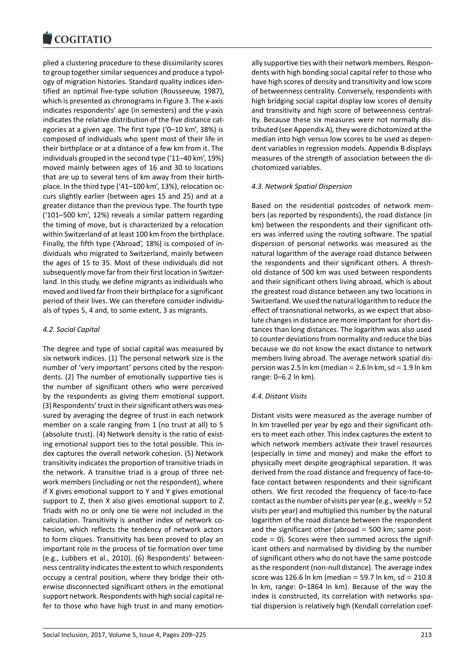#### COULTAIN

plied a clustering procedure to these dissimilarity scores to group together similar sequences and produce a typology of migration histories. Standard quality indices identified an optimal five-type solution (Rousseeuw, 1987), which is presented as chronograms in Figure 3. The x-axis indicates respondents' age (in semesters) and the y-axis indicates the relative distribution of the five distance categories at a given age. The first type ('0–10 km', 38%) is composed of individuals who spent most of their life in their birthplace or at a distance of a few km from it. The individuals grouped in the second type ('11–40 km', 19%) moved mainly between ages of 16 and 30 to locations that are up to several tens of km away from their birthplace. In the third type ('41–100 km', 13%), relocation occurs slightly earlier (between ages 15 and 25) and at a greater distance than the previous type. The fourth type ('101–500 km', 12%) reveals a similar pattern regarding the timing of move, but is characterized by a relocation within Switzerland of at least 100 km from the birthplace. Finally, the fifth type ('Abroad', 18%) is composed of individuals who migrated to Switzerland, mainly between the ages of 15 to 35. Most of these individuals did not subsequently move far from their first location in Switzerland. In this study, we define migrants as individuals who moved and lived far from their birthplace for a significant period of their lives. We can therefore consider individuals of types 5, 4 and, to some extent, 3 as migrants.

### *4.2. Social Capital*

The degree and type of social capital was measured by six network indices. (1) The personal network size is the number of 'very important' persons cited by the respondents. (2) The number of emotionally supportive ties is the number of significant others who were perceived by the respondents as giving them emotional support. (3) Respondents' trust in their significant others was measured by averaging the degree of trust in each network member on a scale ranging from 1 (no trust at all) to 5 (absolute trust). (4) Network density is the ratio of existing emotional support ties to the total possible. This index captures the overall network cohesion. (5) Network transitivity indicates the proportion of transitive triads in the network. A transitive triad is a group of three network members (including or not the respondent), where if X gives emotional support to Y and Y gives emotional support to Z, then X also gives emotional support to Z. Triads with no or only one tie were not included in the calculation. Transitivity is another index of network cohesion, which reflects the tendency of network actors to form cliques. Transitivity has been proved to play an important role in the process of tie formation over time (e.g., Lubbers et al., 2010). (6) Respondents' betweenness centrality indicates the extent to which respondents occupy a central position, where they bridge their otherwise disconnected significant others in the emotional support network. Respondents with high social capital refer to those who have high trust in and many emotionally supportive ties with their network members. Respondents with high bonding social capital refer to those who have high scores of density and transitivity and low score of betweenness centrality. Conversely, respondents with high bridging social capital display low scores of density and transitivity and high score of betweenness centrality. Because these six measures were not normally distributed (see Appendix A), they were dichotomized at the median into high versus low scores to be used as dependent variables in regression models. Appendix B displays measures of the strength of association between the dichotomized variables.

#### *4.3. Network Spatial Dispersion*

Based on the residential postcodes of network members (as reported by respondents), the road distance (in km) between the respondents and their significant others was inferred using the routing software. The spatial dispersion of personal networks was measured as the natural logarithm of the average road distance between the respondents and their significant others. A threshold distance of 500 km was used between respondents and their significant others living abroad, which is about the greatest road distance between any two locations in Switzerland. We used the natural logarithm to reduce the effect of transnational networks, as we expect that absolute changes in distance are more important for short distances than long distances. The logarithm was also used to counter deviations from normality and reduce the bias because we do not know the exact distance to network members living abroad. The average network spatial dispersion was 2.5 ln km (median  $= 2.6$  ln km, sd  $= 1.9$  ln km range: 0–6.2 ln km).

#### *4.4. Distant Visits*

Distant visits were measured as the average number of ln km travelled per year by ego and their significant others to meet each other. This index captures the extent to which network members activate their travel resources (especially in time and money) and make the effort to physically meet despite geographical separation. It was derived from the road distance and frequency of face-toface contact between respondents and their significant others. We first recoded the frequency of face-to-face contact as the number of visits per year (e.g., weekly =  $52$ visits per year) and multiplied this number by the natural logarithm of the road distance between the respondent and the significant other (abroad  $=$  500 km; same post $code = 0$ ). Scores were then summed across the significant others and normalised by dividing by the number of significant others who do not have the same postcode as the respondent (non-null distance). The average index score was 126.6 ln km (median = 59.7 ln km, sd =  $210.8$ ) ln km, range: 0–1864 ln km). Because of the way the index is constructed, its correlation with networks spatial dispersion is relatively high (Kendall correlation coef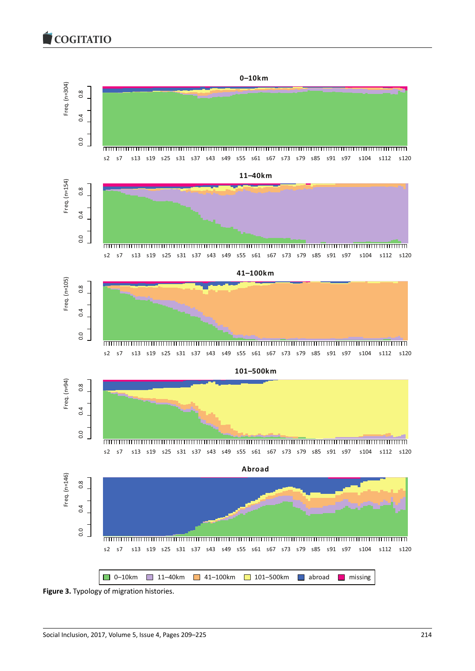COGITATIO



**Figure 3.** Typology of migration histories.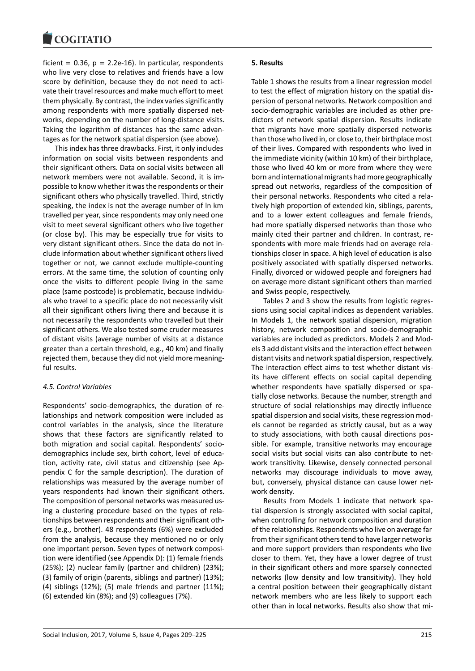#### COULTAIN

ficient =  $0.36$ ,  $p = 2.2e-16$ ). In particular, respondents who live very close to relatives and friends have a low score by definition, because they do not need to activate their travel resources and make much effort to meet them physically. By contrast, the index varies significantly among respondents with more spatially dispersed networks, depending on the number of long-distance visits. Taking the logarithm of distances has the same advantages as for the network spatial dispersion (see above).

This index has three drawbacks. First, it only includes information on social visits between respondents and their significant others. Data on social visits between all network members were not available. Second, it is impossible to know whether it was the respondents or their significant others who physically travelled. Third, strictly speaking, the index is not the average number of ln km travelled per year, since respondents may only need one visit to meet several significant others who live together (or close by). This may be especially true for visits to very distant significant others. Since the data do not include information about whether significant others lived together or not, we cannot exclude multiple-counting errors. At the same time, the solution of counting only once the visits to different people living in the same place (same postcode) is problematic, because individuals who travel to a specific place do not necessarily visit all their significant others living there and because it is not necessarily the respondents who travelled but their significant others. We also tested some cruder measures of distant visits (average number of visits at a distance greater than a certain threshold, e.g., 40 km) and finally rejected them, because they did not yield more meaningful results.

### *4.5. Control Variables*

Respondents' socio-demographics, the duration of relationships and network composition were included as control variables in the analysis, since the literature shows that these factors are significantly related to both migration and social capital. Respondents' sociodemographics include sex, birth cohort, level of education, activity rate, civil status and citizenship (see Appendix C for the sample description). The duration of relationships was measured by the average number of years respondents had known their significant others. The composition of personal networks was measured using a clustering procedure based on the types of relationships between respondents and their significant others (e.g., brother). 48 respondents (6%) were excluded from the analysis, because they mentioned no or only one important person. Seven types of network composition were identified (see Appendix D): (1) female friends (25%); (2) nuclear family (partner and children) (23%); (3) family of origin (parents, siblings and partner) (13%); (4) siblings (12%); (5) male friends and partner (11%); (6) extended kin (8%); and (9) colleagues (7%).

### **5. Results**

Table 1 shows the results from a linear regression model to test the effect of migration history on the spatial dispersion of personal networks. Network composition and socio-demographic variables are included as other predictors of network spatial dispersion. Results indicate that migrants have more spatially dispersed networks than those who lived in, or close to, their birthplace most of their lives. Compared with respondents who lived in the immediate vicinity (within 10 km) of their birthplace, those who lived 40 km or more from where they were born and international migrants had more geographically spread out networks, regardless of the composition of their personal networks. Respondents who cited a relatively high proportion of extended kin, siblings, parents, and to a lower extent colleagues and female friends, had more spatially dispersed networks than those who mainly cited their partner and children. In contrast, respondents with more male friends had on average relationships closer in space. A high level of education is also positively associated with spatially dispersed networks. Finally, divorced or widowed people and foreigners had on average more distant significant others than married and Swiss people, respectively.

Tables 2 and 3 show the results from logistic regressions using social capital indices as dependent variables. In Models 1, the network spatial dispersion, migration history, network composition and socio-demographic variables are included as predictors. Models 2 and Models 3 add distant visits and the interaction effect between distant visits and network spatial dispersion, respectively. The interaction effect aims to test whether distant visits have different effects on social capital depending whether respondents have spatially dispersed or spatially close networks. Because the number, strength and structure of social relationships may directly influence spatial dispersion and social visits, these regression models cannot be regarded as strictly causal, but as a way to study associations, with both causal directions possible. For example, transitive networks may encourage social visits but social visits can also contribute to network transitivity. Likewise, densely connected personal networks may discourage individuals to move away, but, conversely, physical distance can cause lower network density.

Results from Models 1 indicate that network spatial dispersion is strongly associated with social capital, when controlling for network composition and duration of the relationships. Respondents who live on average far from their significant others tend to have larger networks and more support providers than respondents who live closer to them. Yet, they have a lower degree of trust in their significant others and more sparsely connected networks (low density and low transitivity). They hold a central position between their geographically distant network members who are less likely to support each other than in local networks. Results also show that mi-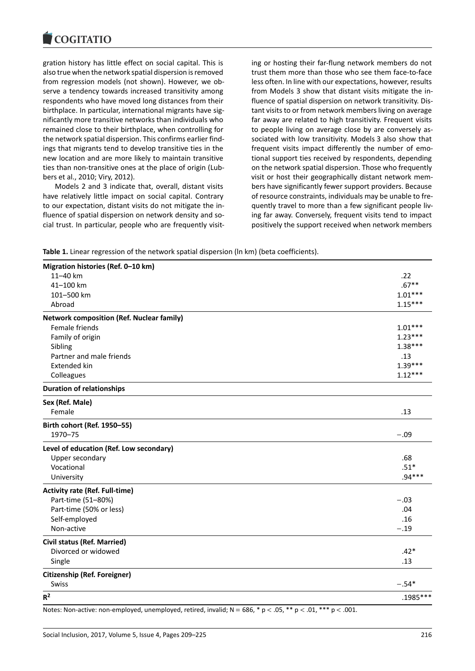#### COQUIATIO

gration history has little effect on social capital. This is also true when the network spatial dispersion is removed from regression models (not shown). However, we observe a tendency towards increased transitivity among respondents who have moved long distances from their birthplace. In particular, international migrants have significantly more transitive networks than individuals who remained close to their birthplace, when controlling for the network spatial dispersion. This confirms earlier findings that migrants tend to develop transitive ties in the new location and are more likely to maintain transitive ties than non-transitive ones at the place of origin (Lubbers et al., 2010; Viry, 2012).

Models 2 and 3 indicate that, overall, distant visits have relatively little impact on social capital. Contrary to our expectation, distant visits do not mitigate the influence of spatial dispersion on network density and social trust. In particular, people who are frequently visiting or hosting their far-flung network members do not trust them more than those who see them face-to-face less often. In line with our expectations, however, results from Models 3 show that distant visits mitigate the influence of spatial dispersion on network transitivity. Distant visits to or from network members living on average far away are related to high transitivity. Frequent visits to people living on average close by are conversely associated with low transitivity. Models 3 also show that frequent visits impact differently the number of emotional support ties received by respondents, depending on the network spatial dispersion. Those who frequently visit or host their geographically distant network members have significantly fewer support providers. Because of resource constraints, individuals may be unable to frequently travel to more than a few significant people living far away. Conversely, frequent visits tend to impact positively the support received when network members

**Table 1.** Linear regression of the network spatial dispersion (ln km) (beta coefficients).

| Migration histories (Ref. 0-10 km)               |            |
|--------------------------------------------------|------------|
| 11-40 km                                         | .22        |
| 41-100 km                                        | $.67**$    |
| 101-500 km                                       | $1.01***$  |
| Abroad                                           | $1.15***$  |
| <b>Network composition (Ref. Nuclear family)</b> |            |
| Female friends                                   | $1.01***$  |
| Family of origin                                 | $1.23***$  |
| Sibling                                          | $1.38***$  |
| Partner and male friends                         | .13        |
| <b>Extended kin</b>                              | $1.39***$  |
| Colleagues                                       | $1.12***$  |
| <b>Duration of relationships</b>                 |            |
| Sex (Ref. Male)                                  |            |
| Female                                           | .13        |
| Birth cohort (Ref. 1950-55)                      |            |
| 1970-75                                          | $-.09$     |
| Level of education (Ref. Low secondary)          |            |
| Upper secondary                                  | .68        |
| Vocational                                       | $.51*$     |
| University                                       | $.94***$   |
| <b>Activity rate (Ref. Full-time)</b>            |            |
| Part-time (51-80%)                               | $-.03$     |
| Part-time (50% or less)                          | .04        |
| Self-employed                                    | .16        |
| Non-active                                       | $-.19$     |
| <b>Civil status (Ref. Married)</b>               |            |
| Divorced or widowed                              | $.42*$     |
| Single                                           | .13        |
| <b>Citizenship (Ref. Foreigner)</b>              |            |
| Swiss                                            | $-.54*$    |
| $R^2$                                            | $.1985***$ |

Notes: Non-active: non-employed, unemployed, retired, invalid;  $N = 686$ ,  $* p < .05$ ,  $* p < .01$ ,  $** p < .001$ .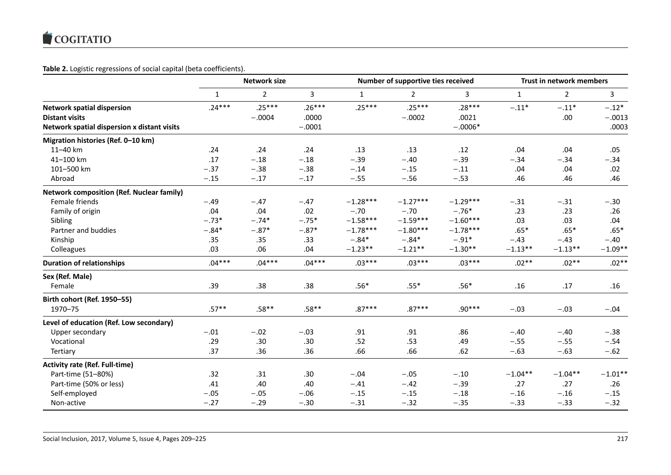# **Table 2.** Logistic regressions of social capital (beta coefficients).

|                                                  |              | <b>Network size</b> |          |              | Number of supportive ties received |            |              | Trust in network members |           |  |
|--------------------------------------------------|--------------|---------------------|----------|--------------|------------------------------------|------------|--------------|--------------------------|-----------|--|
|                                                  | $\mathbf{1}$ | $\overline{2}$      | 3        | $\mathbf{1}$ | $\overline{2}$                     | 3          | $\mathbf{1}$ | $\overline{2}$           | 3         |  |
| <b>Network spatial dispersion</b>                | $.24***$     | $.25***$            | $.26***$ | $.25***$     | $.25***$                           | $.28***$   | $-.11*$      | $-.11*$                  | $-.12*$   |  |
| <b>Distant visits</b>                            |              | $-.0004$            | .0000    |              | $-.0002$                           | .0021      |              | .00.                     | $-.0013$  |  |
| Network spatial dispersion x distant visits      |              |                     | $-.0001$ |              |                                    | $-.0006*$  |              |                          | .0003     |  |
| Migration histories (Ref. 0-10 km)               |              |                     |          |              |                                    |            |              |                          |           |  |
| 11-40 km                                         | .24          | .24                 | .24      | .13          | .13                                | .12        | .04          | .04                      | .05       |  |
| 41-100 km                                        | .17          | $-.18$              | $-.18$   | $-.39$       | $-.40$                             | $-.39$     | $-.34$       | $-.34$                   | $-.34$    |  |
| 101-500 km                                       | $-.37$       | $-.38$              | $-.38$   | $-.14$       | $-.15$                             | $-.11$     | .04          | .04                      | .02       |  |
| Abroad                                           | $-.15$       | $-.17$              | $-.17$   | $-.55$       | $-.56$                             | $-.53$     | .46          | .46                      | .46       |  |
| <b>Network composition (Ref. Nuclear family)</b> |              |                     |          |              |                                    |            |              |                          |           |  |
| Female friends                                   | $-.49$       | $-.47$              | $-.47$   | $-1.28***$   | $-1.27***$                         | $-1.29***$ | $-.31$       | $-.31$                   | $-.30$    |  |
| Family of origin                                 | .04          | .04                 | .02      | $-.70$       | $-.70$                             | $-.76*$    | .23          | .23                      | .26       |  |
| Sibling                                          | $-.73*$      | $-.74*$             | $-.75*$  | $-1.58***$   | $-1.59***$                         | $-1.60***$ | .03          | .03                      | .04       |  |
| Partner and buddies                              | $-.84*$      | $-.87*$             | $-.87*$  | $-1.78***$   | $-1.80***$                         | $-1.78***$ | $.65*$       | $.65*$                   | $.65*$    |  |
| Kinship                                          | .35          | .35                 | .33      | $-.84*$      | $-.84*$                            | $-.91*$    | $-.43$       | $-.43$                   | $-.40$    |  |
| Colleagues                                       | .03          | .06                 | .04      | $-1.23**$    | $-1.21**$                          | $-1.30**$  | $-1.13**$    | $-1.13**$                | $-1.09**$ |  |
| <b>Duration of relationships</b>                 | $.04***$     | $.04***$            | $.04***$ | $.03***$     | $.03***$                           | $.03***$   | $.02**$      | $.02**$                  | $.02**$   |  |
| Sex (Ref. Male)                                  |              |                     |          |              |                                    |            |              |                          |           |  |
| Female                                           | .39          | .38                 | .38      | $.56*$       | $.55*$                             | $.56*$     | .16          | .17                      | .16       |  |
| Birth cohort (Ref. 1950-55)                      |              |                     |          |              |                                    |            |              |                          |           |  |
| 1970-75                                          | $.57**$      | $.58**$             | $.58**$  | $.87***$     | $.87***$                           | $.90***$   | $-.03$       | $-.03$                   | $-.04$    |  |
| Level of education (Ref. Low secondary)          |              |                     |          |              |                                    |            |              |                          |           |  |
| Upper secondary                                  | $-.01$       | $-.02$              | $-.03$   | .91          | .91                                | .86        | $-.40$       | $-.40$                   | $-.38$    |  |
| Vocational                                       | .29          | .30                 | .30      | .52          | .53                                | .49        | $-.55$       | $-.55$                   | $-.54$    |  |
| Tertiary                                         | .37          | .36                 | .36      | .66          | .66                                | .62        | $-.63$       | $-.63$                   | $-.62$    |  |
| <b>Activity rate (Ref. Full-time)</b>            |              |                     |          |              |                                    |            |              |                          |           |  |
| Part-time (51-80%)                               | .32          | .31                 | .30      | $-.04$       | $-.05$                             | $-.10$     | $-1.04**$    | $-1.04**$                | $-1.01**$ |  |
| Part-time (50% or less)                          | .41          | .40                 | .40      | $-.41$       | $-.42$                             | $-.39$     | .27          | .27                      | .26       |  |
| Self-employed                                    | $-.05$       | $-.05$              | $-.06$   | $-.15$       | $-.15$                             | $-.18$     | $-.16$       | $-.16$                   | $-.15$    |  |
| Non-active                                       | $-.27$       | $-.29$              | $-.30$   | $-.31$       | $-.32$                             | $-.35$     | $-.33$       | $-.33$                   | $-.32$    |  |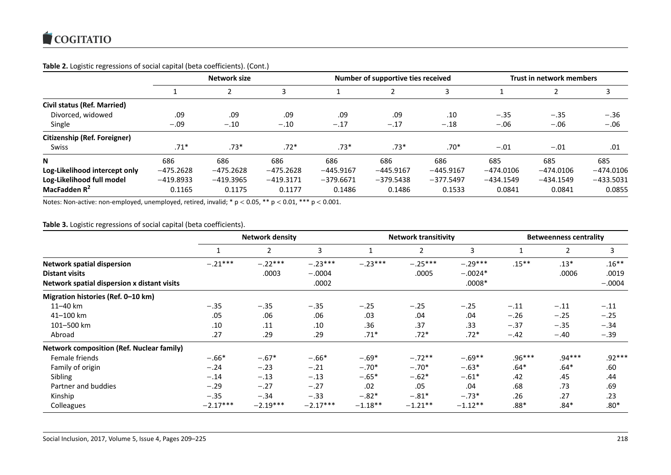# **Table 2.** Logistic regressions of social capital (beta coefficients). (Cont.)

|                               | Network size |             |             |             | Number of supportive ties received |             |             | Trust in network members |             |  |
|-------------------------------|--------------|-------------|-------------|-------------|------------------------------------|-------------|-------------|--------------------------|-------------|--|
|                               |              |             |             |             |                                    |             |             |                          |             |  |
| Civil status (Ref. Married)   |              |             |             |             |                                    |             |             |                          |             |  |
| Divorced, widowed             | .09          | .09         | .09         | .09         | .09                                | .10         | $-.35$      | $-.35$                   | $-.36$      |  |
| Single                        | $-.09$       | $-.10$      | $-.10$      | $-.17$      | $-.17$                             | $-.18$      | $-.06$      | $-.06$                   | $-.06$      |  |
| Citizenship (Ref. Foreigner)  |              |             |             |             |                                    |             |             |                          |             |  |
| <b>Swiss</b>                  | $.71*$       | .73*        | $.72*$      | $.73*$      | $.73*$                             | $.70*$      | $-.01$      | $-.01$                   | .01         |  |
| N                             | 686          | 686         | 686         | 686         | 686                                | 686         | 685         | 685                      | 685         |  |
| Log-Likelihood intercept only | $-475.2628$  | $-475.2628$ | $-475.2628$ | $-445.9167$ | $-445.9167$                        | $-445.9167$ | $-474.0106$ | $-474.0106$              | $-474.0106$ |  |
| Log-Likelihood full model     | $-419.8933$  | $-419.3965$ | $-419.3171$ | $-379.6671$ | $-379.5438$                        | $-377.5497$ | $-434.1549$ | $-434.1549$              | $-433.5031$ |  |
| MacFadden R <sup>2</sup>      | 0.1165       | 0.1175      | 0.1177      | 0.1486      | 0.1486                             | 0.1533      | 0.0841      | 0.0841                   | 0.0855      |  |

Notes: Non-active: non-employed, unemployed, retired, invalid;  $* p < 0.05$ ,  $** p < 0.01$ ,  $*** p < 0.001$ .

# **Table 3.** Logistic regressions of social capital (beta coefficients).

|                                                  | <b>Network density</b> |                |            |           | <b>Network transitivity</b> |           |          | <b>Betweenness centrality</b> |          |  |
|--------------------------------------------------|------------------------|----------------|------------|-----------|-----------------------------|-----------|----------|-------------------------------|----------|--|
|                                                  |                        | $\overline{2}$ | 3          |           | $\overline{2}$              | 3         |          | $\overline{2}$                | 3        |  |
| <b>Network spatial dispersion</b>                | $-.21***$              | $-.22***$      | $-.23***$  | $-.23***$ | $-.25***$                   | $-.29***$ | $.15***$ | $.13*$                        | $.16***$ |  |
| <b>Distant visits</b>                            |                        | .0003          | $-.0004$   |           | .0005                       | $-.0024*$ |          | .0006                         | .0019    |  |
| Network spatial dispersion x distant visits      |                        |                | .0002      |           |                             | $.0008*$  |          |                               | $-.0004$ |  |
| Migration histories (Ref. 0-10 km)               |                        |                |            |           |                             |           |          |                               |          |  |
| 11-40 km                                         | $-.35$                 | $-.35$         | $-.35$     | $-.25$    | $-.25$                      | $-.25$    | $-.11$   | $-.11$                        | $-.11$   |  |
| 41-100 km                                        | .05                    | .06            | .06        | .03       | .04                         | .04       | $-.26$   | $-.25$                        | $-.25$   |  |
| 101-500 km                                       | .10                    | .11            | .10        | .36       | .37                         | .33       | $-.37$   | $-.35$                        | $-.34$   |  |
| Abroad                                           | .27                    | .29            | .29        | $.71*$    | $.72*$                      | $.72*$    | $-.42$   | $-.40$                        | $-.39$   |  |
| <b>Network composition (Ref. Nuclear family)</b> |                        |                |            |           |                             |           |          |                               |          |  |
| Female friends                                   | $-.66*$                | $-.67*$        | $-.66*$    | $-.69*$   | $-.72**$                    | $-.69**$  | $.96***$ | $.94***$                      | $.92***$ |  |
| Family of origin                                 | $-.24$                 | $-.23$         | $-.21$     | $-.70*$   | $-.70*$                     | $-.63*$   | $.64*$   | $.64*$                        | .60      |  |
| Sibling                                          | $-.14$                 | $-.13$         | $-.13$     | $-.65*$   | $-.62*$                     | $-.61*$   | .42      | .45                           | .44      |  |
| Partner and buddies                              | $-.29$                 | $-.27$         | $-.27$     | .02       | .05                         | .04       | .68      | .73                           | .69      |  |
| Kinship                                          | $-.35$                 | $-.34$         | $-.33$     | $-.82*$   | $-.81*$                     | $-.73*$   | .26      | .27                           | .23      |  |
| Colleagues                                       | $-2.17***$             | $-2.19***$     | $-2.17***$ | $-1.18**$ | $-1.21**$                   | $-1.12**$ | .88*     | $.84*$                        | $.80*$   |  |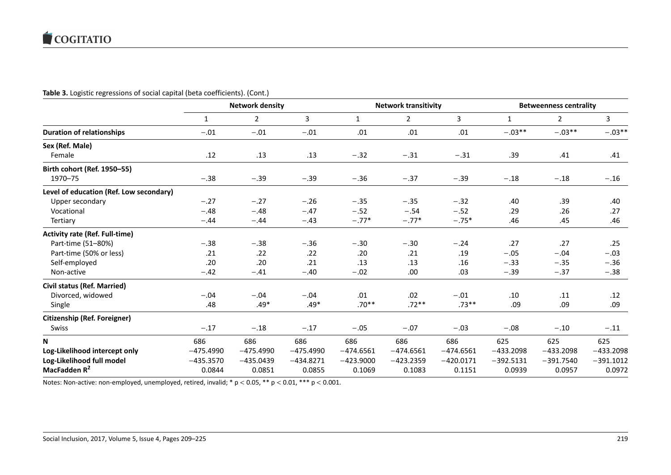# **Table 3.** Logistic regressions of social capital (beta coefficients). (Cont.)

|                                         | <b>Network density</b> |             |             |              | <b>Network transitivity</b> |             |             | <b>Betweenness centrality</b> |             |  |  |
|-----------------------------------------|------------------------|-------------|-------------|--------------|-----------------------------|-------------|-------------|-------------------------------|-------------|--|--|
|                                         | 1                      | 2           | 3           | $\mathbf{1}$ | $\mathbf{2}$                | 3           | 1           | $\mathbf{2}$                  | 3           |  |  |
| <b>Duration of relationships</b>        | $-.01$                 | $-.01$      | $-.01$      | .01          | .01                         | .01         | $-.03**$    | $-.03**$                      | $-.03**$    |  |  |
| Sex (Ref. Male)                         |                        |             |             |              |                             |             |             |                               |             |  |  |
| Female                                  | .12                    | .13         | .13         | $-.32$       | $-.31$                      | $-.31$      | .39         | .41                           | .41         |  |  |
| Birth cohort (Ref. 1950-55)             |                        |             |             |              |                             |             |             |                               |             |  |  |
| 1970-75                                 | $-.38$                 | $-.39$      | $-.39$      | $-.36$       | $-.37$                      | $-.39$      | $-.18$      | $-.18$                        | $-.16$      |  |  |
| Level of education (Ref. Low secondary) |                        |             |             |              |                             |             |             |                               |             |  |  |
| Upper secondary                         | $-.27$                 | $-.27$      | $-.26$      | $-.35$       | $-.35$                      | $-.32$      | .40         | .39                           | .40         |  |  |
| Vocational                              | $-.48$                 | $-.48$      | $-.47$      | $-.52$       | $-.54$                      | $-.52$      | .29         | .26                           | .27         |  |  |
| Tertiary                                | $-.44$                 | $-.44$      | $-.43$      | $-.77*$      | $-.77*$                     | $-.75*$     | .46         | .45                           | .46         |  |  |
| <b>Activity rate (Ref. Full-time)</b>   |                        |             |             |              |                             |             |             |                               |             |  |  |
| Part-time (51-80%)                      | $-.38$                 | $-.38$      | $-.36$      | $-.30$       | $-.30$                      | $-.24$      | .27         | .27                           | .25         |  |  |
| Part-time (50% or less)                 | .21                    | .22         | .22         | .20          | .21                         | .19         | $-.05$      | $-.04$                        | $-.03$      |  |  |
| Self-employed                           | .20                    | .20         | .21         | .13          | .13                         | .16         | $-.33$      | $-.35$                        | $-.36$      |  |  |
| Non-active                              | $-.42$                 | $-.41$      | $-.40$      | $-.02$       | .00.                        | .03         | $-.39$      | $-.37$                        | $-.38$      |  |  |
| <b>Civil status (Ref. Married)</b>      |                        |             |             |              |                             |             |             |                               |             |  |  |
| Divorced, widowed                       | $-.04$                 | $-.04$      | $-.04$      | .01          | .02                         | $-.01$      | .10         | .11                           | .12         |  |  |
| Single                                  | .48                    | $.49*$      | $.49*$      | $.70**$      | $.72**$                     | $.73**$     | .09         | .09                           | .09         |  |  |
| Citizenship (Ref. Foreigner)            |                        |             |             |              |                             |             |             |                               |             |  |  |
| Swiss                                   | $-.17$                 | $-.18$      | $-.17$      | $-.05$       | $-.07$                      | $-.03$      | $-.08$      | $-.10$                        | $-.11$      |  |  |
| N                                       | 686                    | 686         | 686         | 686          | 686                         | 686         | 625         | 625                           | 625         |  |  |
| Log-Likelihood intercept only           | $-475.4990$            | $-475.4990$ | $-475.4990$ | $-474.6561$  | $-474.6561$                 | $-474.6561$ | $-433.2098$ | $-433.2098$                   | $-433.2098$ |  |  |
| Log-Likelihood full model               | $-435.3570$            | $-435.0439$ | $-434.8271$ | $-423.9000$  | $-423.2359$                 | $-420.0171$ | $-392.5131$ | $-391.7540$                   | $-391.1012$ |  |  |
| MacFadden R <sup>2</sup>                | 0.0844                 | 0.0851      | 0.0855      | 0.1069       | 0.1083                      | 0.1151      | 0.0939      | 0.0957                        | 0.0972      |  |  |

Notes: Non-active: non-employed, unemployed, retired, invalid;  $* p < 0.05$ ,  $** p < 0.01$ ,  $*** p < 0.001$ .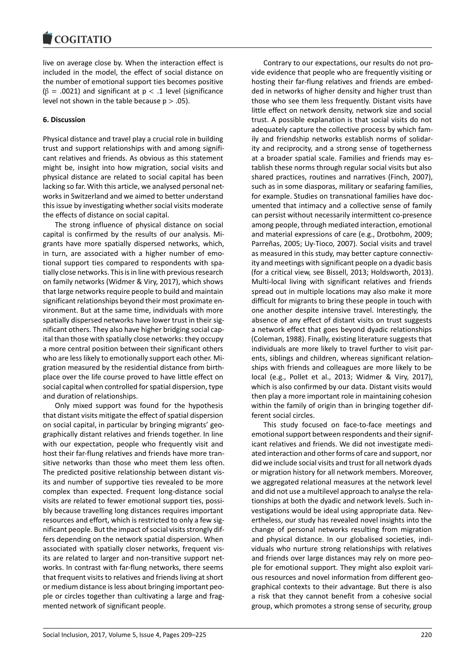#### COMITATIO

live on average close by. When the interaction effect is included in the model, the effect of social distance on the number of emotional support ties becomes positive  $(β = .0021)$  and significant at  $p < .1$  level (significance level not shown in the table because  $p > .05$ ).

## **6. Discussion**

Physical distance and travel play a crucial role in building trust and support relationships with and among significant relatives and friends. As obvious as this statement might be, insight into how migration, social visits and physical distance are related to social capital has been lacking so far. With this article, we analysed personal networks in Switzerland and we aimed to better understand this issue by investigating whether social visits moderate the effects of distance on social capital.

The strong influence of physical distance on social capital is confirmed by the results of our analysis. Migrants have more spatially dispersed networks, which, in turn, are associated with a higher number of emotional support ties compared to respondents with spatially close networks. This is in line with previous research on family networks (Widmer & Viry, 2017), which shows that large networks require people to build and maintain significant relationships beyond their most proximate environment. But at the same time, individuals with more spatially dispersed networks have lower trust in their significant others. They also have higher bridging social capital than those with spatially close networks: they occupy a more central position between their significant others who are less likely to emotionally support each other. Migration measured by the residential distance from birthplace over the life course proved to have little effect on social capital when controlled for spatial dispersion, type and duration of relationships.

Only mixed support was found for the hypothesis that distant visits mitigate the effect of spatial dispersion on social capital, in particular by bringing migrants' geographically distant relatives and friends together. In line with our expectation, people who frequently visit and host their far-flung relatives and friends have more transitive networks than those who meet them less often. The predicted positive relationship between distant visits and number of supportive ties revealed to be more complex than expected. Frequent long-distance social visits are related to fewer emotional support ties, possibly because travelling long distances requires important resources and effort, which is restricted to only a few significant people. But the impact of social visits strongly differs depending on the network spatial dispersion. When associated with spatially closer networks, frequent visits are related to larger and non-transitive support networks. In contrast with far-flung networks, there seems that frequent visits to relatives and friends living at short or medium distance is less about bringing important people or circles together than cultivating a large and fragmented network of significant people.

Contrary to our expectations, our results do not provide evidence that people who are frequently visiting or hosting their far-flung relatives and friends are embedded in networks of higher density and higher trust than those who see them less frequently. Distant visits have little effect on network density, network size and social trust. A possible explanation is that social visits do not adequately capture the collective process by which family and friendship networks establish norms of solidarity and reciprocity, and a strong sense of togetherness at a broader spatial scale. Families and friends may establish these norms through regular social visits but also shared practices, routines and narratives (Finch, 2007), such as in some diasporas, military or seafaring families, for example. Studies on transnational families have documented that intimacy and a collective sense of family can persist without necessarily intermittent co-presence among people, through mediated interaction, emotional and material expressions of care (e.g., Drotbohm, 2009; Parreñas, 2005; Uy-Tioco, 2007). Social visits and travel as measured in this study, may better capture connectivity and meetings with significant people on a dyadic basis (for a critical view, see Bissell, 2013; Holdsworth, 2013). Multi-local living with significant relatives and friends spread out in multiple locations may also make it more difficult for migrants to bring these people in touch with one another despite intensive travel. Interestingly, the absence of any effect of distant visits on trust suggests a network effect that goes beyond dyadic relationships (Coleman, 1988). Finally, existing literature suggests that individuals are more likely to travel further to visit parents, siblings and children, whereas significant relationships with friends and colleagues are more likely to be local (e.g., Pollet et al., 2013; Widmer & Viry, 2017), which is also confirmed by our data. Distant visits would then play a more important role in maintaining cohesion within the family of origin than in bringing together different social circles.

This study focused on face-to-face meetings and emotional support between respondents and their significant relatives and friends. We did not investigate mediated interaction and other forms of care and support, nor did we include social visits and trust for all network dyads or migration history for all network members. Moreover, we aggregated relational measures at the network level and did not use a multilevel approach to analyse the relationships at both the dyadic and network levels. Such investigations would be ideal using appropriate data. Nevertheless, our study has revealed novel insights into the change of personal networks resulting from migration and physical distance. In our globalised societies, individuals who nurture strong relationships with relatives and friends over large distances may rely on more people for emotional support. They might also exploit various resources and novel information from different geographical contexts to their advantage. But there is also a risk that they cannot benefit from a cohesive social group, which promotes a strong sense of security, group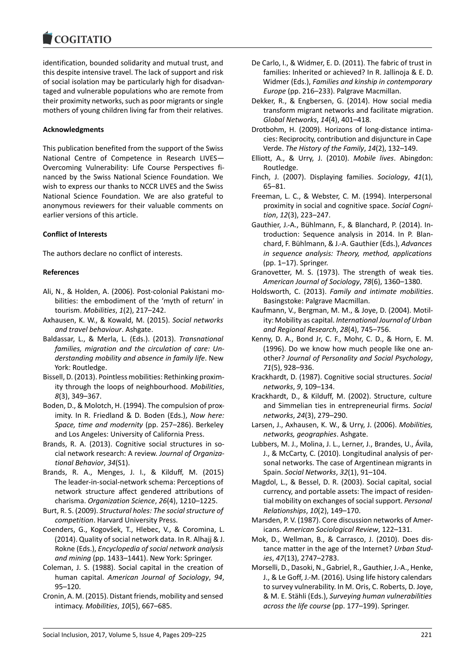#### **COMBITATIO**

identification, bounded solidarity and mutual trust, and this despite intensive travel. The lack of support and risk of social isolation may be particularly high for disadvantaged and vulnerable populations who are remote from their proximity networks, such as poor migrants or single mothers of young children living far from their relatives.

# **Acknowledgments**

This publication benefited from the support of the Swiss National Centre of Competence in Research LIVES— Overcoming Vulnerability: Life Course Perspectives financed by the Swiss National Science Foundation. We wish to express our thanks to NCCR LIVES and the Swiss National Science Foundation. We are also grateful to anonymous reviewers for their valuable comments on earlier versions of this article.

# **Conflict of Interests**

The authors declare no conflict of interests.

# **References**

- Ali, N., & Holden, A. (2006). Post-colonial Pakistani mobilities: the embodiment of the 'myth of return' in tourism. *Mobilities*, *1*(2), 217–242.
- Axhausen, K. W., & Kowald, M. (2015). *Social networks and travel behaviour*. Ashgate.
- Baldassar, L., & Merla, L. (Eds.). (2013). *Transnational families, migration and the circulation of care: Understanding mobility and absence in family life*. New York: Routledge.
- Bissell, D. (2013). Pointless mobilities: Rethinking proximity through the loops of neighbourhood. *Mobilities*, *8*(3), 349–367.
- Boden, D., & Molotch, H. (1994). The compulsion of proximity. In R. Friedland & D. Boden (Eds.), *Now here: Space, time and modernity* (pp. 257–286). Berkeley and Los Angeles: University of California Press.
- Brands, R. A. (2013). Cognitive social structures in social network research: A review. *Journal of Organizational Behavior*, *34*(S1).
- Brands, R. A., Menges, J. I., & Kilduff, M. (2015) The leader-in-social-network schema: Perceptions of network structure affect gendered attributions of charisma. *Organization Science*, *26*(4), 1210–1225.
- Burt, R. S. (2009). *Structural holes: The social structure of competition*. Harvard University Press.
- Coenders, G., Kogovšek, T., Hlebec, V., & Coromina, L. (2014). Quality of social network data. In R. Alhajj & J. Rokne (Eds.), *Encyclopedia of social network analysis and mining* (pp. 1433–1441). New York: Springer.
- Coleman, J. S. (1988). Social capital in the creation of human capital. *American Journal of Sociology*, *94*, 95–120.
- Cronin, A. M. (2015). Distant friends, mobility and sensed intimacy. *Mobilities*, *10*(5), 667–685.
- De Carlo, I., & Widmer, E. D. (2011). The fabric of trust in families: Inherited or achieved? In R. Jallinoja & E. D. Widmer (Eds.), *Families and kinship in contemporary Europe* (pp. 216–233). Palgrave Macmillan.
- Dekker, R., & Engbersen, G. (2014). How social media transform migrant networks and facilitate migration. *Global Networks*, *14*(4), 401–418.
- Drotbohm, H. (2009). Horizons of long-distance intimacies: Reciprocity, contribution and disjuncture in Cape Verde. *The History of the Family*, *14*(2), 132–149.
- Elliott, A., & Urry, J. (2010). *Mobile lives*. Abingdon: Routledge.
- Finch, J. (2007). Displaying families. *Sociology*, *41*(1), 65–81.
- Freeman, L. C., & Webster, C. M. (1994). Interpersonal proximity in social and cognitive space. *Social Cognition*, *12*(3), 223–247.
- Gauthier, J.-A., Bühlmann, F., & Blanchard, P. (2014). Introduction: Sequence analysis in 2014. In P. Blanchard, F. Bühlmann, & J.-A. Gauthier (Eds.), *Advances in sequence analysis: Theory, method, applications* (pp. 1–17). Springer.
- Granovetter, M. S. (1973). The strength of weak ties. *American Journal of Sociology*, *78*(6), 1360–1380.
- Holdsworth, C. (2013). *Family and intimate mobilities*. Basingstoke: Palgrave Macmillan.
- Kaufmann, V., Bergman, M. M., & Joye, D. (2004). Motility: Mobility as capital. *International Journal of Urban and Regional Research*, *28*(4), 745–756.
- Kenny, D. A., Bond Jr, C. F., Mohr, C. D., & Horn, E. M. (1996). Do we know how much people like one another? *Journal of Personality and Social Psychology*, *71*(5), 928–936.
- Krackhardt, D. (1987). Cognitive social structures. *Social networks*, *9*, 109–134.
- Krackhardt, D., & Kilduff, M. (2002). Structure, culture and Simmelian ties in entrepreneurial firms. *Social networks*, *24*(3), 279–290.
- Larsen, J., Axhausen, K. W., & Urry, J. (2006). *Mobilities, networks, geographies*. Ashgate.
- Lubbers, M. J., Molina, J. L., Lerner, J., Brandes, U., Ávila, J., & McCarty, C. (2010). Longitudinal analysis of personal networks. The case of Argentinean migrants in Spain. *Social Networks*, *32*(1), 91–104.
- Magdol, L., & Bessel, D. R. (2003). Social capital, social currency, and portable assets: The impact of residential mobility on exchanges of social support. *Personal Relationships*, *10*(2), 149–170.
- Marsden, P. V. (1987). Core discussion networks of Americans. *American Sociological Review*, 122–131.
- Mok, D., Wellman, B., & Carrasco, J. (2010). Does distance matter in the age of the Internet? *Urban Studies*, *47*(13), 2747–2783.
- Morselli, D., Dasoki, N., Gabriel, R., Gauthier, J.-A., Henke, J., & Le Goff, J.-M. (2016). Using life history calendars to survey vulnerability. In M. Oris, C. Roberts, D. Joye, & M. E. Stähli (Eds.), *Surveying human vulnerabilities across the life course* (pp. 177–199). Springer.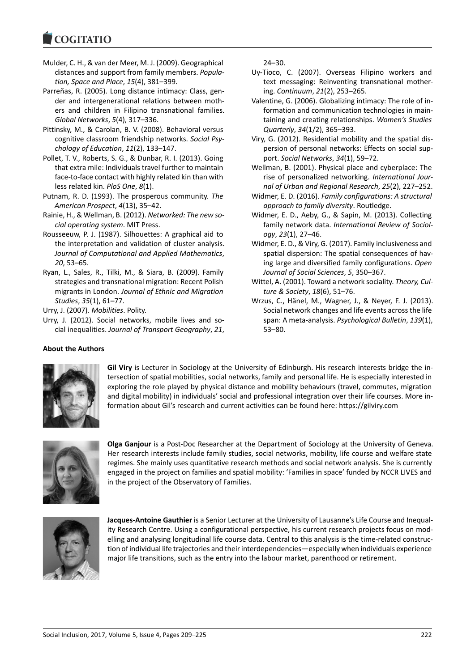#### COMITATIO

- Mulder, C. H., & van der Meer, M. J. (2009). Geographical distances and support from family members. *Population, Space and Place*, *15*(4), 381–399.
- Parreñas, R. (2005). Long distance intimacy: Class, gender and intergenerational relations between mothers and children in Filipino transnational families. *Global Networks*, *5*(4), 317–336.
- Pittinsky, M., & Carolan, B. V. (2008). Behavioral versus cognitive classroom friendship networks. *Social Psychology of Education*, *11*(2), 133–147.
- Pollet, T. V., Roberts, S. G., & Dunbar, R. I. (2013). Going that extra mile: Individuals travel further to maintain face-to-face contact with highly related kin than with less related kin. *PloS One*, *8*(1).
- Putnam, R. D. (1993). The prosperous community. *The American Prospect*, *4*(13), 35–42.
- Rainie, H., & Wellman, B. (2012). *Networked: The new social operating system*. MIT Press.
- Rousseeuw, P. J. (1987). Silhouettes: A graphical aid to the interpretation and validation of cluster analysis. *Journal of Computational and Applied Mathematics*, *20*, 53–65.
- Ryan, L., Sales, R., Tilki, M., & Siara, B. (2009). Family strategies and transnational migration: Recent Polish migrants in London. *Journal of Ethnic and Migration Studies*, *35*(1), 61–77.

Urry, J. (2007). *Mobilities*. Polity.

Urry, J. (2012). Social networks, mobile lives and social inequalities. *Journal of Transport Geography*, *21*,

# 24–30.

- Uy-Tioco, C. (2007). Overseas Filipino workers and text messaging: Reinventing transnational mothering. *Continuum*, *21*(2), 253–265.
- Valentine, G. (2006). Globalizing intimacy: The role of information and communication technologies in maintaining and creating relationships. *Women's Studies Quarterly*, *34*(1/2), 365–393.
- Viry, G. (2012). Residential mobility and the spatial dispersion of personal networks: Effects on social support. *Social Networks*, *34*(1), 59–72.
- Wellman, B. (2001). Physical place and cyberplace: The rise of personalized networking. *International Journal of Urban and Regional Research*, *25*(2), 227–252.
- Widmer, E. D. (2016). *Family configurations: A structural approach to family diversity*. Routledge.
- Widmer, E. D., Aeby, G., & Sapin, M. (2013). Collecting family network data. *International Review of Sociology*, *23*(1), 27–46.
- Widmer, E. D., & Viry, G. (2017). Family inclusiveness and spatial dispersion: The spatial consequences of having large and diversified family configurations. *Open Journal of Social Sciences*, *5*, 350–367.
- Wittel, A. (2001). Toward a network sociality. *Theory, Culture & Society*, *18*(6), 51–76.
- Wrzus, C., Hänel, M., Wagner, J., & Neyer, F. J. (2013). Social network changes and life events across the life span: A meta-analysis. *Psychological Bulletin*, *139*(1), 53–80.

# **About the Authors**



**Gil Viry** is Lecturer in Sociology at the University of Edinburgh. His research interests bridge the intersection of spatial mobilities, social networks, family and personal life. He is especially interested in exploring the role played by physical distance and mobility behaviours (travel, commutes, migration and digital mobility) in individuals' social and professional integration over their life courses. More information about Gil's research and current activities can be found here: https://gilviry.com



**Olga Ganjour** is a Post-Doc Researcher at the Department of Sociology at the University of Geneva. Her research interests include family studies, social networks, mobility, life course and welfare state regimes. She mainly uses quantitative research methods and social network analysis. She is currently engaged in the project on families and spatial mobility: 'Families in space' funded by NCCR LIVES and in the project of the Observatory of Families.



**Jacques-Antoine Gauthier** is a Senior Lecturer at the University of Lausanne's Life Course and Inequality Research Centre. Using a configurational perspective, his current research projects focus on modelling and analysing longitudinal life course data. Central to this analysis is the time-related construction of individual life trajectories and their interdependencies—especially when individuals experience major life transitions, such as the entry into the labour market, parenthood or retirement.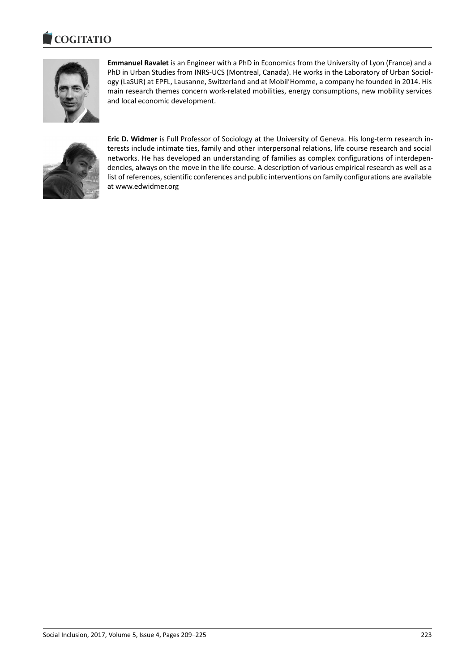#### COULTAIN



**Emmanuel Ravalet** is an Engineer with a PhD in Economics from the University of Lyon (France) and a PhD in Urban Studies from INRS-UCS (Montreal, Canada). He works in the Laboratory of Urban Sociology (LaSUR) at EPFL, Lausanne, Switzerland and at Mobil'Homme, a company he founded in 2014. His main research themes concern work-related mobilities, energy consumptions, new mobility services and local economic development.



**Eric D. Widmer** is Full Professor of Sociology at the University of Geneva. His long-term research interests include intimate ties, family and other interpersonal relations, life course research and social networks. He has developed an understanding of families as complex configurations of interdependencies, always on the move in the life course. A description of various empirical research as well as a list of references, scientific conferences and public interventions on family configurations are available at www.edwidmer.org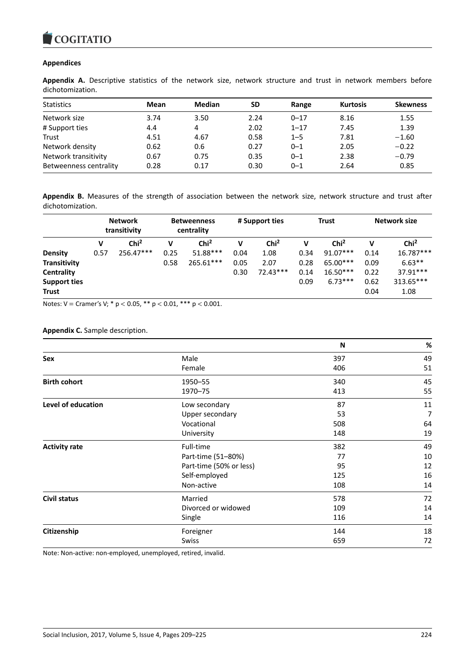# **Appendices**

**Appendix A.** Descriptive statistics of the network size, network structure and trust in network members before dichotomization.

| <b>Statistics</b>      | Mean | <b>Median</b> | <b>SD</b> | Range    | <b>Kurtosis</b> | <b>Skewness</b> |
|------------------------|------|---------------|-----------|----------|-----------------|-----------------|
| Network size           | 3.74 | 3.50          | 2.24      | $0 - 17$ | 8.16            | 1.55            |
| # Support ties         | 4.4  | 4             | 2.02      | $1 - 17$ | 7.45            | 1.39            |
| Trust                  | 4.51 | 4.67          | 0.58      | $1 - 5$  | 7.81            | $-1.60$         |
| Network density        | 0.62 | 0.6           | 0.27      | $0 - 1$  | 2.05            | $-0.22$         |
| Network transitivity   | 0.67 | 0.75          | 0.35      | $0 - 1$  | 2.38            | $-0.79$         |
| Betweenness centrality | 0.28 | 0.17          | 0.30      | $0 - 1$  | 2.64            | 0.85            |

**Appendix B.** Measures of the strength of association between the network size, network structure and trust after dichotomization.

|                     | <b>Network</b><br>transitivity |                  | <b>Betweenness</b><br>centrality |                  | # Support ties |                  | <b>Trust</b> |                  | Network size |                  |
|---------------------|--------------------------------|------------------|----------------------------------|------------------|----------------|------------------|--------------|------------------|--------------|------------------|
|                     | v                              | Chi <sup>2</sup> | v                                | Chi <sup>2</sup> | v              | Chi <sup>2</sup> | v            | Chi <sup>2</sup> | v            | Chi <sup>2</sup> |
| <b>Density</b>      | 0.57                           | $256.47***$      | 0.25                             | 51.88***         | 0.04           | 1.08             | 0.34         | $91.07***$       | 0.14         | 16.787***        |
| <b>Transitivity</b> |                                |                  | 0.58                             | 265.61***        | 0.05           | 2.07             | 0.28         | 65.00***         | 0.09         | $6.63**$         |
| Centrality          |                                |                  |                                  |                  | 0.30           | $72.43***$       | 0.14         | $16.50***$       | 0.22         | 37.91***         |
| <b>Support ties</b> |                                |                  |                                  |                  |                |                  | 0.09         | $6.73***$        | 0.62         | 313.65***        |
| Trust               |                                |                  |                                  |                  |                |                  |              |                  | 0.04         | 1.08             |

Notes:  $V =$  Cramer's V;  $*$  p < 0.05,  $**$  p < 0.01,  $***$  p < 0.001.

### **Appendix C.** Sample description.

|                      |                         | N   | $\%$ |
|----------------------|-------------------------|-----|------|
| Sex                  | Male                    | 397 | 49   |
|                      | Female                  | 406 | 51   |
| <b>Birth cohort</b>  | 1950-55                 | 340 | 45   |
|                      | 1970-75                 | 413 | 55   |
| Level of education   | Low secondary           | 87  | 11   |
|                      | Upper secondary         | 53  | 7    |
|                      | Vocational              | 508 | 64   |
|                      | University              | 148 | 19   |
| <b>Activity rate</b> | Full-time               | 382 | 49   |
|                      | Part-time (51-80%)      | 77  | 10   |
|                      | Part-time (50% or less) | 95  | 12   |
|                      | Self-employed           | 125 | 16   |
|                      | Non-active              | 108 | 14   |
| Civil status         | Married                 | 578 | 72   |
|                      | Divorced or widowed     | 109 | 14   |
|                      | Single                  | 116 | 14   |
| Citizenship          | Foreigner               | 144 | 18   |
|                      | Swiss                   | 659 | 72   |

Note: Non-active: non-employed, unemployed, retired, invalid.